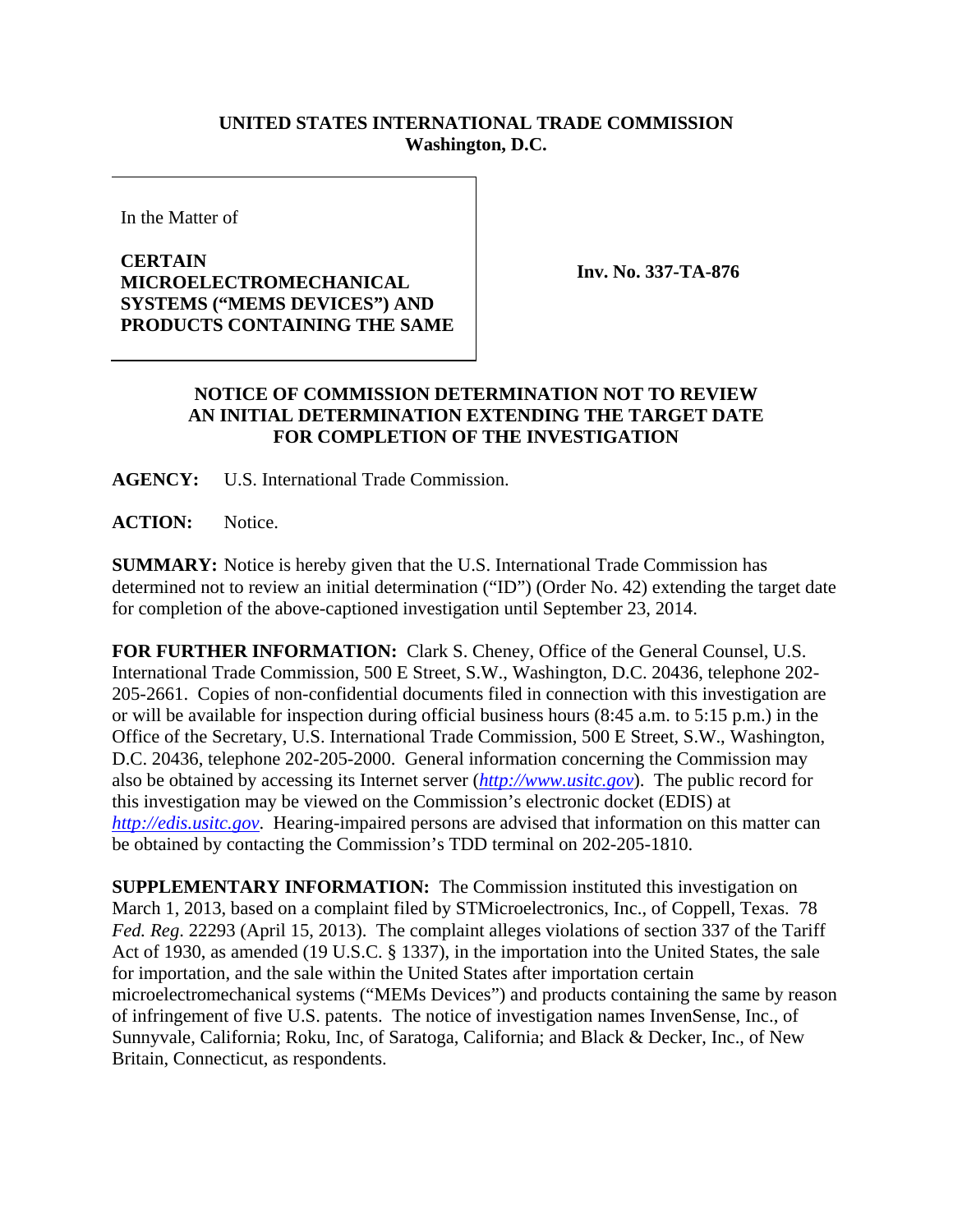## **UNITED STATES INTERNATIONAL TRADE COMMISSION Washington, D.C.**

In the Matter of

## **CERTAIN MICROELECTROMECHANICAL SYSTEMS ("MEMS DEVICES") AND PRODUCTS CONTAINING THE SAME**

**Inv. No. 337-TA-876**

## **NOTICE OF COMMISSION DETERMINATION NOT TO REVIEW AN INITIAL DETERMINATION EXTENDING THE TARGET DATE FOR COMPLETION OF THE INVESTIGATION**

**AGENCY:** U.S. International Trade Commission.

**ACTION:** Notice.

**SUMMARY:** Notice is hereby given that the U.S. International Trade Commission has determined not to review an initial determination ("ID") (Order No. 42) extending the target date for completion of the above-captioned investigation until September 23, 2014.

**FOR FURTHER INFORMATION:** Clark S. Cheney, Office of the General Counsel, U.S. International Trade Commission, 500 E Street, S.W., Washington, D.C. 20436, telephone 202- 205-2661. Copies of non-confidential documents filed in connection with this investigation are or will be available for inspection during official business hours (8:45 a.m. to 5:15 p.m.) in the Office of the Secretary, U.S. International Trade Commission, 500 E Street, S.W., Washington, D.C. 20436, telephone 202-205-2000. General information concerning the Commission may also be obtained by accessing its Internet server (*http://www.usitc.gov*). The public record for this investigation may be viewed on the Commission's electronic docket (EDIS) at *http://edis.usitc.gov*. Hearing-impaired persons are advised that information on this matter can be obtained by contacting the Commission's TDD terminal on 202-205-1810.

**SUPPLEMENTARY INFORMATION:** The Commission instituted this investigation on March 1, 2013, based on a complaint filed by STMicroelectronics, Inc., of Coppell, Texas. 78 *Fed. Reg*. 22293 (April 15, 2013). The complaint alleges violations of section 337 of the Tariff Act of 1930, as amended (19 U.S.C. § 1337), in the importation into the United States, the sale for importation, and the sale within the United States after importation certain microelectromechanical systems ("MEMs Devices") and products containing the same by reason of infringement of five U.S. patents. The notice of investigation names InvenSense, Inc., of Sunnyvale, California; Roku, Inc, of Saratoga, California; and Black & Decker, Inc., of New Britain, Connecticut, as respondents.